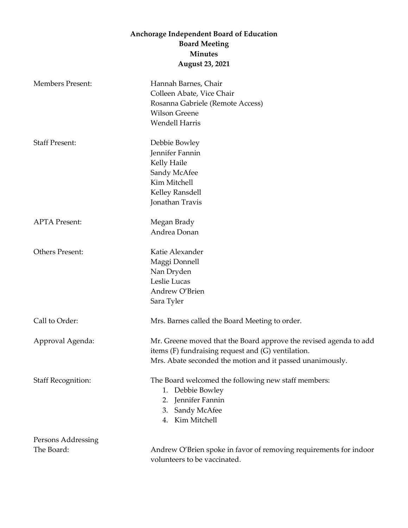## **Anchorage Independent Board of Education Board Meeting Minutes August 23, 2021**

| <b>Members Present:</b>          | Hannah Barnes, Chair<br>Colleen Abate, Vice Chair<br>Rosanna Gabriele (Remote Access)<br><b>Wilson Greene</b><br><b>Wendell Harris</b>                                               |
|----------------------------------|--------------------------------------------------------------------------------------------------------------------------------------------------------------------------------------|
| <b>Staff Present:</b>            | Debbie Bowley<br>Jennifer Fannin<br>Kelly Haile<br>Sandy McAfee<br>Kim Mitchell<br>Kelley Ransdell<br>Jonathan Travis                                                                |
| <b>APTA Present:</b>             | Megan Brady<br>Andrea Donan                                                                                                                                                          |
| <b>Others Present:</b>           | Katie Alexander<br>Maggi Donnell<br>Nan Dryden<br>Leslie Lucas<br>Andrew O'Brien<br>Sara Tyler                                                                                       |
| Call to Order:                   | Mrs. Barnes called the Board Meeting to order.                                                                                                                                       |
| Approval Agenda:                 | Mr. Greene moved that the Board approve the revised agenda to add<br>items (F) fundraising request and (G) ventilation.<br>Mrs. Abate seconded the motion and it passed unanimously. |
| <b>Staff Recognition:</b>        | The Board welcomed the following new staff members:<br>Debbie Bowley<br>1.<br>Jennifer Fannin<br>2.<br>Sandy McAfee<br>3.<br>Kim Mitchell<br>4.                                      |
| Persons Addressing<br>The Board: | Andrew O'Brien spoke in favor of removing requirements for indoor<br>volunteers to be vaccinated.                                                                                    |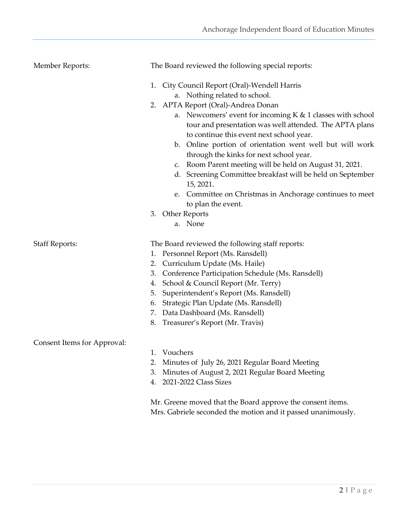| <b>Member Reports:</b>      | The Board reviewed the following special reports:                                                                                                                                                                                                                                                                                                                                                                                                                                                                                                                                                                       |
|-----------------------------|-------------------------------------------------------------------------------------------------------------------------------------------------------------------------------------------------------------------------------------------------------------------------------------------------------------------------------------------------------------------------------------------------------------------------------------------------------------------------------------------------------------------------------------------------------------------------------------------------------------------------|
|                             | 1. City Council Report (Oral)-Wendell Harris<br>a. Nothing related to school.<br>2. APTA Report (Oral)-Andrea Donan<br>a. Newcomers' event for incoming K & 1 classes with school<br>tour and presentation was well attended. The APTA plans<br>to continue this event next school year.<br>b. Online portion of orientation went well but will work<br>through the kinks for next school year.<br>c. Room Parent meeting will be held on August 31, 2021.<br>d. Screening Committee breakfast will be held on September<br>15, 2021.<br>e. Committee on Christmas in Anchorage continues to meet<br>to plan the event. |
|                             | 3. Other Reports<br>a. None                                                                                                                                                                                                                                                                                                                                                                                                                                                                                                                                                                                             |
| <b>Staff Reports:</b>       | The Board reviewed the following staff reports:<br>1. Personnel Report (Ms. Ransdell)<br>2. Curriculum Update (Ms. Haile)                                                                                                                                                                                                                                                                                                                                                                                                                                                                                               |
|                             | Conference Participation Schedule (Ms. Ransdell)<br>3.<br>School & Council Report (Mr. Terry)<br>4.                                                                                                                                                                                                                                                                                                                                                                                                                                                                                                                     |
|                             | Superintendent's Report (Ms. Ransdell)<br>5.<br>Strategic Plan Update (Ms. Ransdell)<br>6.<br>7. Data Dashboard (Ms. Ransdell)<br>8. Treasurer's Report (Mr. Travis)                                                                                                                                                                                                                                                                                                                                                                                                                                                    |
| Consent Items for Approval: |                                                                                                                                                                                                                                                                                                                                                                                                                                                                                                                                                                                                                         |
|                             | Vouchers<br>1.<br>Minutes of July 26, 2021 Regular Board Meeting<br>2.<br>Minutes of August 2, 2021 Regular Board Meeting<br>3.<br>4. 2021-2022 Class Sizes                                                                                                                                                                                                                                                                                                                                                                                                                                                             |
|                             | Mr. Greene moved that the Board approve the consent items.                                                                                                                                                                                                                                                                                                                                                                                                                                                                                                                                                              |

Mrs. Gabriele seconded the motion and it passed unanimously.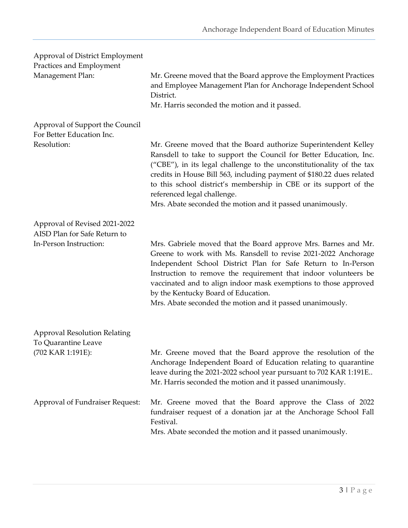| Approval of District Employment<br>Practices and Employment   |                                                                                                                                                                                                                                                                                                                                                                                                                                                          |
|---------------------------------------------------------------|----------------------------------------------------------------------------------------------------------------------------------------------------------------------------------------------------------------------------------------------------------------------------------------------------------------------------------------------------------------------------------------------------------------------------------------------------------|
| Management Plan:                                              | Mr. Greene moved that the Board approve the Employment Practices<br>and Employee Management Plan for Anchorage Independent School<br>District.<br>Mr. Harris seconded the motion and it passed.                                                                                                                                                                                                                                                          |
| Approval of Support the Council<br>For Better Education Inc.  |                                                                                                                                                                                                                                                                                                                                                                                                                                                          |
| Resolution:                                                   | Mr. Greene moved that the Board authorize Superintendent Kelley<br>Ransdell to take to support the Council for Better Education, Inc.<br>("CBE"), in its legal challenge to the unconstitutionality of the tax<br>credits in House Bill 563, including payment of \$180.22 dues related<br>to this school district's membership in CBE or its support of the<br>referenced legal challenge.<br>Mrs. Abate seconded the motion and it passed unanimously. |
| Approval of Revised 2021-2022<br>AISD Plan for Safe Return to |                                                                                                                                                                                                                                                                                                                                                                                                                                                          |
| In-Person Instruction:                                        | Mrs. Gabriele moved that the Board approve Mrs. Barnes and Mr.<br>Greene to work with Ms. Ransdell to revise 2021-2022 Anchorage<br>Independent School District Plan for Safe Return to In-Person<br>Instruction to remove the requirement that indoor volunteers be<br>vaccinated and to align indoor mask exemptions to those approved<br>by the Kentucky Board of Education.<br>Mrs. Abate seconded the motion and it passed unanimously.             |
| <b>Approval Resolution Relating</b><br>To Quarantine Leave    |                                                                                                                                                                                                                                                                                                                                                                                                                                                          |
| (702 KAR 1:191E):                                             | Mr. Greene moved that the Board approve the resolution of the<br>Anchorage Independent Board of Education relating to quarantine<br>leave during the 2021-2022 school year pursuant to 702 KAR 1:191E<br>Mr. Harris seconded the motion and it passed unanimously.                                                                                                                                                                                       |
| Approval of Fundraiser Request:                               | Mr. Greene moved that the Board approve the Class of 2022<br>fundraiser request of a donation jar at the Anchorage School Fall<br>Festival.<br>Mrs. Abate seconded the motion and it passed unanimously.                                                                                                                                                                                                                                                 |